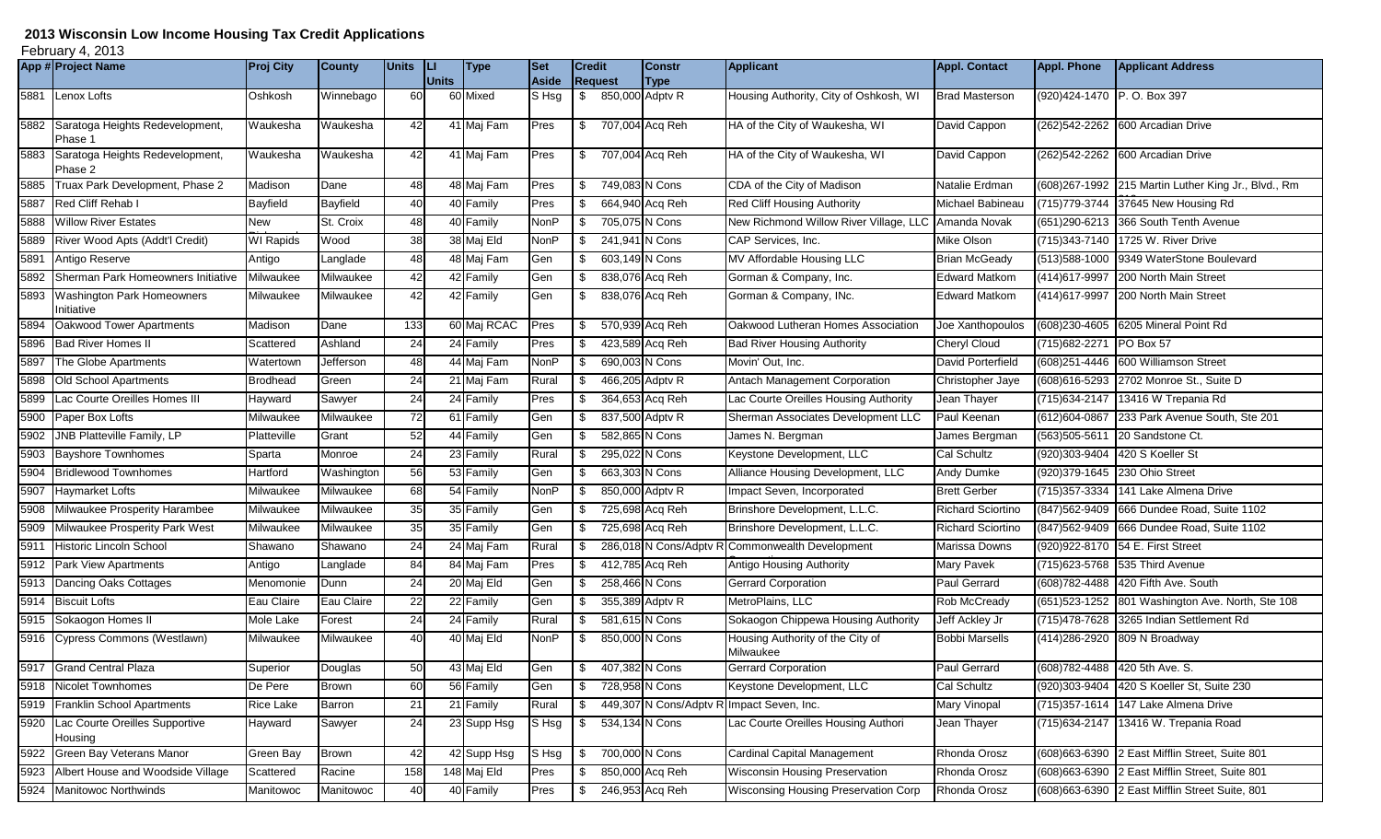## **2013 Wisconsin Low Income Housing Tax Credit Applications**

February 4, 2013

|      | App # Project Name                              | <b>Proj City</b> | <b>County</b>   | <b>Units</b> | IЦ           | <b>Type</b> | Set         | <b>Credit</b> |                 | <b>Constr</b>          | Applicant                                     | <b>Appl. Contact</b>     | <b>Appl. Phone</b>          | <b>Applicant Address</b>                             |
|------|-------------------------------------------------|------------------|-----------------|--------------|--------------|-------------|-------------|---------------|-----------------|------------------------|-----------------------------------------------|--------------------------|-----------------------------|------------------------------------------------------|
|      |                                                 |                  |                 |              | <b>Units</b> |             | Aside       |               | <b>Request</b>  | <b>Type</b>            |                                               |                          |                             |                                                      |
|      | 5881 Lenox Lofts                                | Oshkosh          | Winnebago       | 60           |              | 60 Mixed    | S Hsg       | - \$          | 850,000 Adptv R |                        | Housing Authority, City of Oshkosh, WI        | <b>Brad Masterson</b>    | (920) 424-1470 P.O. Box 397 |                                                      |
|      | 5882 Saratoga Heights Redevelopment,<br>Phase 1 | Waukesha         | Waukesha        | 42           |              | 41 Maj Fam  | Pres        | \$            | 707,004 Acq Reh |                        | HA of the City of Waukesha, WI                | David Cappon             |                             | (262) 542-2262 600 Arcadian Drive                    |
|      | 5883 Saratoga Heights Redevelopment,<br>Phase 2 | Waukesha         | Waukesha        | 42           |              | 41 Maj Fam  | Pres        | S.            | 707,004 Acq Reh |                        | HA of the City of Waukesha, WI                | David Cappon             |                             | (262) 542-2262 600 Arcadian Drive                    |
| 5885 | Truax Park Development, Phase 2                 | Madison          | Dane            | 48           |              | 48 Maj Fam  | Pres        | \$            | 749,083 N Cons  |                        | CDA of the City of Madison                    | Natalie Erdman           |                             | (608) 267-1992 215 Martin Luther King Jr., Blvd., Rm |
| 5887 | Red Cliff Rehab I                               | Bayfield         | <b>Bayfield</b> | 40           |              | 40 Family   | Pres        |               | 664,940 Acq Reh |                        | <b>Red Cliff Housing Authority</b>            | Michael Babineau         |                             | (715) 779-3744 37645 New Housing Rd                  |
|      | 5888 Willow River Estates                       | New              | St. Croix       | 48           |              | 40 Family   | <b>NonP</b> | - \$          | 705,075 N Cons  |                        | New Richmond Willow River Village, LLC        | Amanda Novak             |                             | (651) 290-6213 366 South Tenth Avenue                |
|      | 5889 River Wood Apts (Addt'l Credit)            | <b>WI Rapids</b> | Wood            | 38           |              | 38 Maj Eld  | <b>NonP</b> |               | 241,941 N Cons  |                        | CAP Services, Inc.                            | Mike Olson               |                             | (715) 343-7140 1725 W. River Drive                   |
|      | 5891 Antigo Reserve                             | Antigo           | Langlade        | 48           |              | 48 Maj Fam  | Gen         | - \$          | 603,149 N Cons  |                        | MV Affordable Housing LLC                     | <b>Brian McGeady</b>     | (513) 588-1000              | 9349 WaterStone Boulevard                            |
|      | 5892 Sherman Park Homeowners Initiative         | Milwaukee        | Milwaukee       | 42           |              | 42 Family   | Gen         | \$            | 838,076 Acq Reh |                        | Gorman & Company, Inc.                        | <b>Edward Matkom</b>     | (414) 617-9997              | 200 North Main Street                                |
|      | 5893 Washington Park Homeowners<br>Initiative   | Milwaukee        | Milwaukee       | 42           |              | 42 Family   | Gen         | - \$          | 838,076 Acq Reh |                        | Gorman & Company, INc.                        | <b>Edward Matkom</b>     | (414) 617-9997              | 200 North Main Street                                |
| 5894 | Oakwood Tower Apartments                        | Madison          | Dane            | 133          |              | 60 Maj RCAC | Pres        | \$            | 570,939 Acq Reh |                        | Oakwood Lutheran Homes Association            | Joe Xanthopoulos         | (608) 230-4605              | 6205 Mineral Point Rd                                |
| 5896 | <b>Bad River Homes II</b>                       | Scattered        | Ashland         | 24           |              | 24 Family   | Pres        |               | 423,589 Acq Reh |                        | <b>Bad River Housing Authority</b>            | <b>Cheryl Cloud</b>      | (715) 682-2271              | PO Box 57                                            |
| 5897 | The Globe Apartments                            | Watertown        | Jefferson       | 48           |              | 44 Maj Fam  | <b>NonP</b> |               | 690,003 N Cons  |                        | Movin' Out, Inc.                              | David Porterfield        |                             | (608) 251-4446 600 Williamson Street                 |
| 5898 | Old School Apartments                           | Brodhead         | Green           | 24           |              | 21 Maj Fam  | Rural       |               | 466,205 Adptv R |                        | Antach Management Corporation                 | Christopher Jaye         |                             | (608)616-5293 2702 Monroe St., Suite D               |
| 5899 | Lac Courte Oreilles Homes III                   | Hayward          | Sawyer          | 24           |              | 24 Family   | Pres        |               | 364,653 Acq Reh |                        | Lac Courte Oreilles Housing Authority         | Jean Thayer              | (715) 634-2147              | 13416 W Trepania Rd                                  |
|      | 5900 Paper Box Lofts                            | Milwaukee        | Milwaukee       | 72           |              | 61 Family   | Gen         |               | 837,500 Adptv R |                        | Sherman Associates Development LLC            | Paul Keenan              | (612) 604-0867              | 233 Park Avenue South, Ste 201                       |
|      | 5902 JNB Platteville Family, LP                 | Platteville      | Grant           | 52           |              | 44 Family   | Gen         |               | 582,865 N Cons  |                        | James N. Bergman                              | James Bergman            | $\overline{(563)}$ 505-5611 | 20 Sandstone Ct.                                     |
|      | 5903 Bayshore Townhomes                         | Sparta           | Monroe          | 24           |              | 23 Family   | Rural       |               | 295,022 N Cons  |                        | Keystone Development, LLC                     | Cal Schultz              | (920)303-9404               | 420 S Koeller St                                     |
| 5904 | <b>Bridlewood Townhomes</b>                     | Hartford         | Washington      | 56           |              | 53 Family   | Gen         |               | 663,303 N Cons  |                        | Alliance Housing Development, LLC             | Andy Dumke               |                             | (920) 379-1645 230 Ohio Street                       |
| 5907 | <b>Haymarket Lofts</b>                          | Milwaukee        | Milwaukee       | 68           |              | 54 Family   | <b>NonP</b> | - \$          | 850,000 Adpty R |                        | Impact Seven, Incorporated                    | <b>Brett Gerber</b>      |                             | (715) 357-3334 141 Lake Almena Drive                 |
| 5908 | Milwaukee Prosperity Harambee                   | Milwaukee        | Milwaukee       | 35           |              | 35 Family   | Gen         | \$            | 725,698 Acq Reh |                        | Brinshore Development, L.L.C.                 | <b>Richard Sciortino</b> |                             | (847) 562-9409 666 Dundee Road, Suite 1102           |
| 5909 | Milwaukee Prosperity Park West                  | Milwaukee        | Milwaukee       | 35           |              | 35 Family   | Gen         |               | 725,698 Acq Reh |                        | Brinshore Development, L.L.C.                 | Richard Sciortino        |                             | (847) 562-9409 666 Dundee Road, Suite 1102           |
| 5911 | Historic Lincoln School                         | Shawano          | Shawano         | 24           |              | 24 Maj Fam  | Rural       |               |                 | 286,018 N Cons/Adptv R | Commonwealth Development                      | Marissa Downs            |                             | (920) 922-8170 54 E. First Street                    |
|      | 5912 Park View Apartments                       | Antigo           | Langlade        | 84           |              | 84 Maj Fam  | Pres        | \$            | 412,785 Acq Reh |                        | Antigo Housing Authority                      | Mary Pavek               |                             | (715) 623-5768 535 Third Avenue                      |
| 5913 | Dancing Oaks Cottages                           | Menomonie        | Dunn            | 24           |              | 20 Maj Eld  | Gen         | -\$           | 258,466 N Cons  |                        | <b>Gerrard Corporation</b>                    | Paul Gerrard             |                             | (608) 782-4488 420 Fifth Ave. South                  |
|      | 5914 Biscuit Lofts                              | Eau Claire       | Eau Claire      | 22           |              | 22 Family   | Gen         |               | 355,389 Adptv R |                        | MetroPlains, LLC                              | Rob McCready             |                             | (651) 523-1252 801 Washington Ave. North, Ste 108    |
|      | 5915 Sokaogon Homes II                          | Mole Lake        | Forest          | 24           |              | 24 Family   | Rural       |               | 581,615 N Cons  |                        | Sokaogon Chippewa Housing Authority           | Jeff Ackley Jr           |                             | (715)478-7628 3265 Indian Settlement Rd              |
|      | 5916 Cypress Commons (Westlawn)                 | Milwaukee        | Milwaukee       | 40           |              | 40 Maj Eld  | <b>NonP</b> |               | 850,000 N Cons  |                        | Housing Authority of the City of<br>Milwaukee | <b>Bobbi Marsells</b>    |                             | (414) 286-2920 809 N Broadway                        |
|      | 5917 Grand Central Plaza                        | Superior         | Douglas         | 50           |              | 43 Maj Eld  | Gen         | \$            | 407,382 N Cons  |                        | <b>Gerrard Corporation</b>                    | Paul Gerrard             |                             | (608)782-4488 420 5th Ave. S.                        |
|      | 5918 Nicolet Townhomes                          | De Pere          | <b>Brown</b>    | 60           |              | 56 Family   | Gen         | \$            | 728,958 N Cons  |                        | Keystone Development, LLC                     | Cal Schultz              | $\sqrt{(920)}303 - 9404$    | 420 S Koeller St, Suite 230                          |
|      | 5919 Franklin School Apartments                 | <b>Rice Lake</b> | Barron          | 21           |              | 21 Family   | Rural       |               |                 | 449,307 N Cons/Adptv R | Impact Seven, Inc.                            | <b>Mary Vinopal</b>      | (715) 357-1614              | 147 Lake Almena Drive                                |
|      | 5920 Lac Courte Oreilles Supportive<br>Housing  | Hayward          | Sawyer          | 24           |              | 23 Supp Hsg | S Hsg       | - \$          | 534,134 N Cons  |                        | Lac Courte Oreilles Housing Authori           | Jean Thayer              | (715) 634-2147              | 13416 W. Trepania Road                               |
|      | 5922 Green Bay Veterans Manor                   | Green Bay        | Brown           | 42           |              | 42 Supp Hsg | $S$ Hsg     | \$            | 700,000 N Cons  |                        | <b>Cardinal Capital Management</b>            | Rhonda Orosz             |                             | (608) 663-6390 2 East Mifflin Street, Suite 801      |
|      | 5923 Albert House and Woodside Village          | Scattered        | Racine          | 158          |              | 148 Maj Eld | Pres        | \$            |                 | 850,000 Acq Reh        | <b>Wisconsin Housing Preservation</b>         | Rhonda Orosz             |                             | (608) 663-6390 2 East Mifflin Street, Suite 801      |
|      | 5924 Manitowoc Northwinds                       | Manitowoc        | Manitowoc       | 40           |              | 40 Family   | Pres        | \$            | 246,953 Acq Reh |                        | Wisconsing Housing Preservation Corp          | Rhonda Orosz             |                             | (608) 663-6390 2 East Mifflin Street Suite, 801      |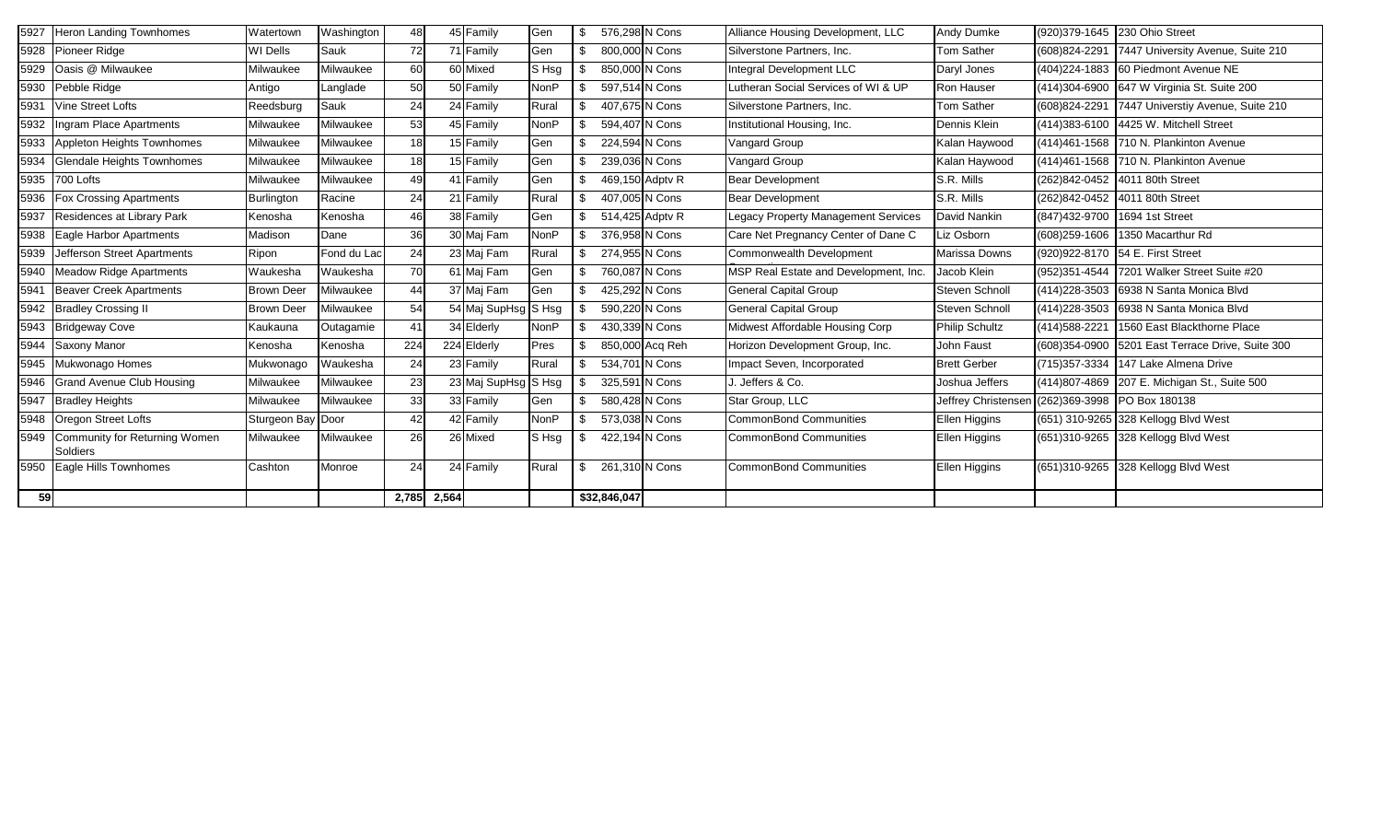| 5927 | <b>Heron Landing Townhomes</b>                 | Watertown         | Washington  | 48        |             | 45 Family           | Gen         | -S   | 576,298 N Cons  | Alliance Housing Development, LLC     | Andy Dumke            |                          | (920) 379-1645 230 Ohio Street               |
|------|------------------------------------------------|-------------------|-------------|-----------|-------------|---------------------|-------------|------|-----------------|---------------------------------------|-----------------------|--------------------------|----------------------------------------------|
|      | 5928 Pioneer Ridge                             | WI Dells          | Sauk        | <b>72</b> |             | 71 Family           | Gen         | \$   | 800,000 N Cons  | Silverstone Partners, Inc.            | <b>Tom Sather</b>     | (608)824-2291            | 7447 University Avenue, Suite 210            |
| 5929 | Oasis @ Milwaukee                              | Milwaukee         | Milwaukee   | 60        |             | 60 Mixed            | S Hsg       |      | 850,000 N Cons  | Integral Development LLC              | Daryl Jones           |                          | (404) 224-1883 60 Piedmont Avenue NE         |
| 5930 | Pebble Ridge                                   | Antigo            | Langlade    | 50        |             | 50 Family           | <b>NonP</b> | -S   | 597,514 N Cons  | Lutheran Social Services of WI & UP   | Ron Hauser            | (414)304-6900            | 647 W Virginia St. Suite 200                 |
| 5931 | <b>Vine Street Lofts</b>                       | Reedsburg         | Sauk        | 24        |             | 24 Family           | Rural       | \$   | 407,675 N Cons  | Silverstone Partners, Inc.            | Tom Sather            | $\sqrt{(608)824 - 2291}$ | 7447 Universtiy Avenue, Suite 210            |
| 5932 | Ingram Place Apartments                        | Milwaukee         | Milwaukee   | 53        |             | 45 Family           | <b>NonP</b> | \$   | 594,407 N Cons  | Institutional Housing, Inc.           | Dennis Klein          | (414) 383-6100           | 4425 W. Mitchell Street                      |
| 5933 | Appleton Heights Townhomes                     | Milwaukee         | Milwaukee   | 18        |             | 15 Family           | Gen         | \$   | 224,594 N Cons  | <b>Vangard Group</b>                  | Kalan Haywood         |                          | (414)461-1568 710 N. Plankinton Avenue       |
| 5934 | <b>Glendale Heights Townhomes</b>              | Milwaukee         | Milwaukee   | 18        |             | 15 Family           | Gen         |      | 239,036 N Cons  | Vangard Group                         | Kalan Haywood         |                          | (414) 461-1568 710 N. Plankinton Avenue      |
|      | 5935 700 Lofts                                 | Milwaukee         | Milwaukee   | 49        |             | 41 Family           | Gen         | \$   | 469,150 Adpty R | <b>Bear Development</b>               | S.R. Mills            |                          | (262)842-0452 4011 80th Street               |
| 5936 | <b>Fox Crossing Apartments</b>                 | Burlington        | Racine      | 24        |             | 21 Family           | Rural       |      | 407,005 N Cons  | <b>Bear Development</b>               | S.R. Mills            |                          | (262)842-0452 4011 80th Street               |
| 5937 | Residences at Library Park                     | Kenosha           | Kenosha     | 46        |             | 38 Family           | Gen         | \$.  | 514,425 Adpty R | Legacy Property Management Services   | <b>David Nankin</b>   | (847) 432-9700           | 1694 1st Street                              |
| 5938 | Eagle Harbor Apartments                        | Madison           | Dane        | 36        |             | 30 Maj Fam          | <b>NonP</b> | -S   | 376,958 N Cons  | Care Net Pregnancy Center of Dane C   | Liz Osborn            |                          | (608) 259-1606 1350 Macarthur Rd             |
| 5939 | Jefferson Street Apartments                    | Ripon             | Fond du Lac | 24        |             | 23 Mai Fam          | Rural       | \$   | 274,955 N Cons  | Commonwealth Development              | Marissa Downs         |                          | (920) 922-8170 54 E. First Street            |
| 5940 | <b>Meadow Ridge Apartments</b>                 | Waukesha          | Waukesha    | 70        |             | 61 Maj Fam          | Gen         | \$   | 760,087 N Cons  | MSP Real Estate and Development, Inc. | Jacob Klein           |                          | (952)351-4544 7201 Walker Street Suite #20   |
| 5941 | <b>Beaver Creek Apartments</b>                 | <b>Brown Deer</b> | Milwaukee   | 44        |             | 37 Maj Fam          | Gen         |      | 425,292 N Cons  | <b>General Capital Group</b>          | Steven Schnoll        |                          | (414) 228-3503 6938 N Santa Monica Blvd      |
|      | 5942 Bradley Crossing II                       | <b>Brown Deer</b> | Milwaukee   | 54        |             | 54 Maj SupHsg S Hsg |             |      | 590,220 N Cons  | <b>General Capital Group</b>          | Steven Schnoll        |                          | (414) 228-3503 6938 N Santa Monica Blvd      |
|      | 5943 Bridgeway Cove                            | Kaukauna          | Outagamie   | 41        |             | 34 Elderly          | <b>NonP</b> | - \$ | 430,339 N Cons  | Midwest Affordable Housing Corp       | <b>Philip Schultz</b> | (414) 588-2221           | 1560 East Blackthorne Place                  |
| 5944 | Saxony Manor                                   | Kenosha           | Kenosha     | 224       |             | 224 Elderly         | Pres        | -S   | 850,000 Acq Reh | Horizon Development Group, Inc.       | John Faust            | (608)354-0900            | 5201 East Terrace Drive, Suite 300           |
|      | 5945 Mukwonago Homes                           | Mukwonago         | Waukesha    | 24        |             | 23 Family           | Rural       | \$   | 534,701 N Cons  | Impact Seven, Incorporated            | <b>Brett Gerber</b>   |                          | (715) 357-3334 147 Lake Almena Drive         |
|      | 5946 Grand Avenue Club Housing                 | Milwaukee         | Milwaukee   | 23        |             | 23 Maj SupHsg       | $S$ Hsg     |      | 325,591 N Cons  | J. Jeffers & Co.                      | Joshua Jeffers        |                          | (414)807-4869 207 E. Michigan St., Suite 500 |
| 5947 | <b>Bradley Heights</b>                         | Milwaukee         | Milwaukee   | 33        |             | 33 Family           | Gen         | \$   | 580,428 N Cons  | Star Group, LLC                       | Jeffrey Christenser   | (262)369-3998            | PO Box 180138                                |
|      | 5948 Oregon Street Lofts                       | Sturgeon Bay Door |             | 42        |             | 42 Family           | <b>NonP</b> |      | 573,038 N Cons  | CommonBond Communities                | Ellen Higgins         |                          | (651) 310-9265 328 Kellogg Blvd West         |
|      | 5949 Community for Returning Women<br>Soldiers | Milwaukee         | Milwaukee   | 26        |             | 26 Mixed            | S Hsg       | - \$ | 422,194 N Cons  | CommonBond Communities                | Ellen Higgins         |                          | (651)310-9265 328 Kellogg Blvd West          |
|      | 5950 Eagle Hills Townhomes                     | Cashton           | Monroe      | 24        |             | 24 Family           | Rural       | \$   | 261,310 N Cons  | CommonBond Communities                | Ellen Higgins         |                          | (651)310-9265 328 Kellogg Blvd West          |
| 59   |                                                |                   |             |           | 2,785 2,564 |                     |             |      | \$32,846,047    |                                       |                       |                          |                                              |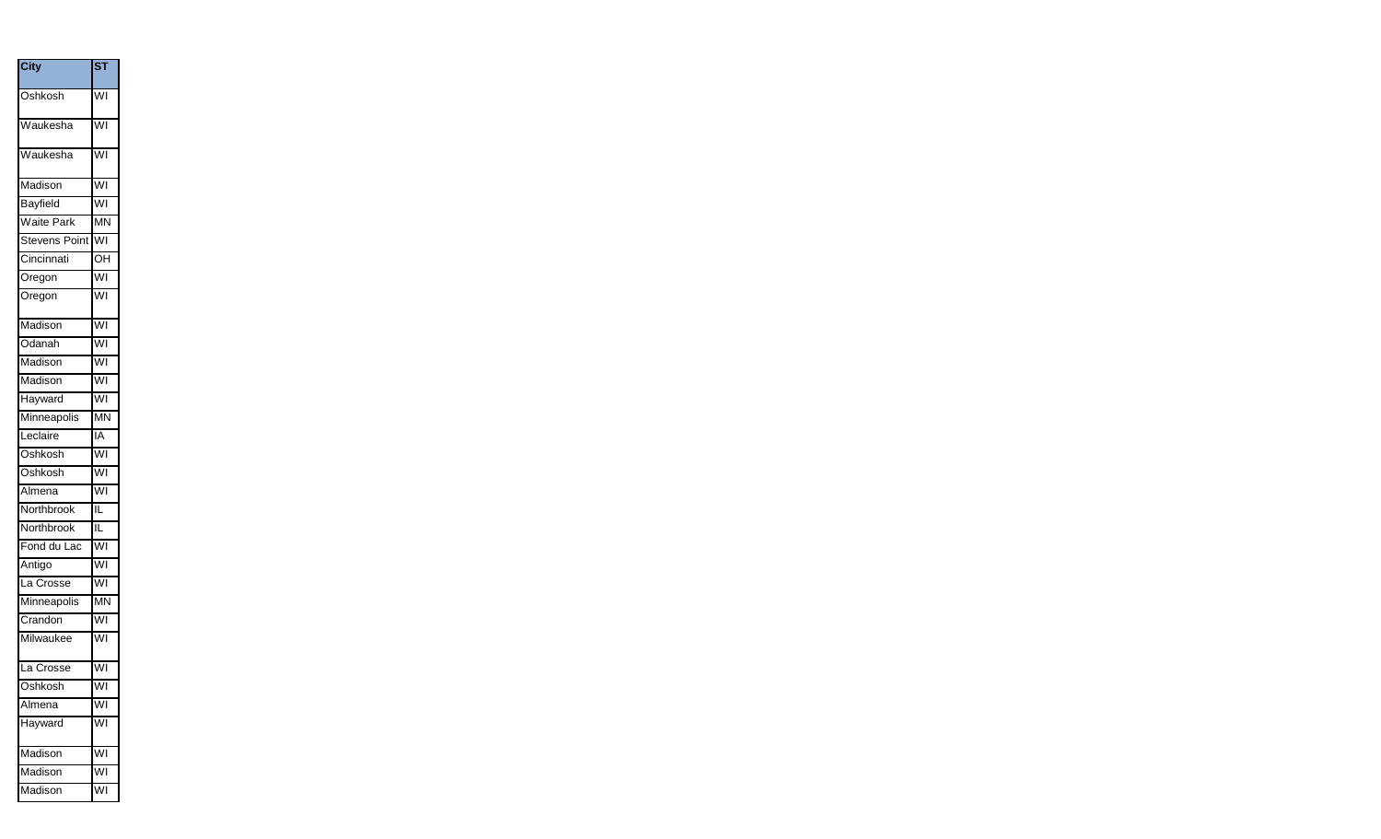| <b>City</b>          | $\overline{\textsf{s} \texttt{\textsf{T}}}$ |
|----------------------|---------------------------------------------|
| Oshkosh              | $\overline{\mathsf{w}}$ l                   |
| Waukesha             | WI                                          |
| Waukesha             | WI                                          |
| Madison              | WI                                          |
| Bayfield             | WI                                          |
| Waite Park           | <b>MN</b>                                   |
| <b>Stevens Point</b> | WI                                          |
| Cincinnati           | OH                                          |
| Oregon               | WI                                          |
| Oregon               | $\overline{\mathsf{W}}$                     |
| Madison              | WI                                          |
| Odanah               | WI                                          |
| Madison              | WI                                          |
| Madison              | WI                                          |
| Hayward              | WI                                          |
| Minneapolis          | <b>MN</b>                                   |
| Leclaire             | IA                                          |
| Oshkosh              | WI                                          |
| Oshkosh              | WI                                          |
| Almena               | WI                                          |
| Northbrook           | $\overline{\mathsf{IL}}$                    |
| Northbrook           | ίĹ                                          |
| Fond du Lac          | WI                                          |
| Antigo               | WI                                          |
| La Crosse            | WI                                          |
| Minneapolis          | <b>MN</b>                                   |
| Crandon              | WI                                          |
| Milwaukee            | WI                                          |
| La Crosse            | WI                                          |
| Oshkosh              | WI                                          |
| Almena               | WI                                          |
| Hayward              | $\overline{\mathsf{W}}$ l                   |
| Madison              | WI                                          |
| Madison              | WI                                          |
| Madison              | WI                                          |